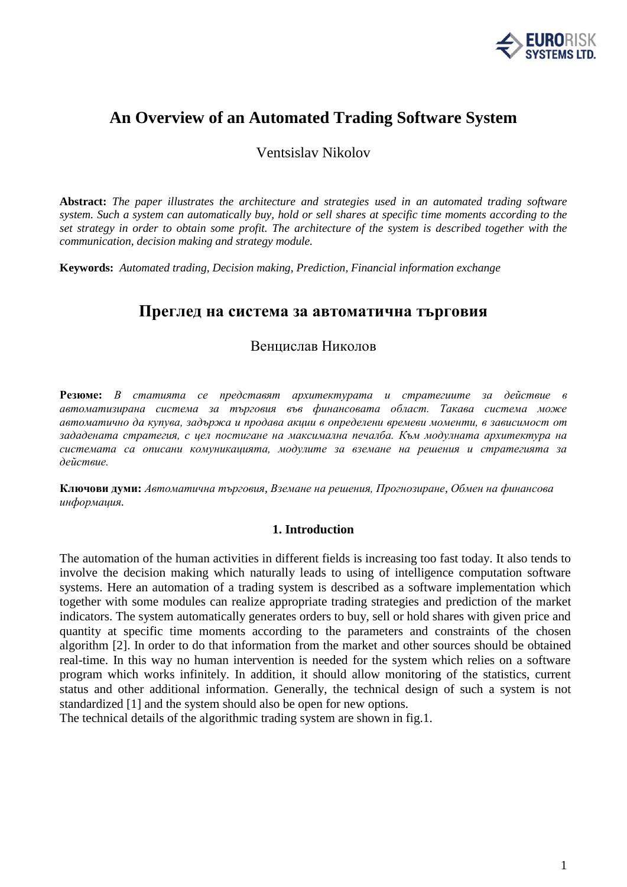

# **An Overview of an Automated Trading Software System**

Ventsislav Nikolov

**Abstract:** *The paper illustrates the architecture and strategies used in an automated trading software system. Such a system can automatically buy, hold or sell shares at specific time moments according to the set strategy in order to obtain some profit. The architecture of the system is described together with the communication, decision making and strategy module.*

**Keywords:** *Automated trading, Decision making, Prediction, Financial information exchange*

## **Преглед на система за автоматична търговия**

### Венцислав Николов

**Резюме:** *В статията се представят архитектурата и стратегиите за действие в автоматизирана система за търговия във финансовата област. Такава система може автоматично да купува, задържа и продава акции в определени времеви моменти, в зависимост от зададената стратегия, с цел постигане на максимална печалба. Към модулната архитектура на системата са описани комуникацията, модулите за вземане на решения и стратегията за действие.*

**Ключови думи:** *Автоматична търговия, Вземане на решения, Прогнозиране, Обмен на финансова информация.*

#### **1. Introduction**

The automation of the human activities in different fields is increasing too fast today. It also tends to involve the decision making which naturally leads to using of intelligence computation software systems. Here an automation of a trading system is described as a software implementation which together with some modules can realize appropriate trading strategies and prediction of the market indicators. The system automatically generates orders to buy, sell or hold shares with given price and quantity at specific time moments according to the parameters and constraints of the chosen algorithm [2]. In order to do that information from the market and other sources should be obtained real-time. In this way no human intervention is needed for the system which relies on a software program which works infinitely. In addition, it should allow monitoring of the statistics, current status and other additional information. Generally, the technical design of such a system is not standardized [1] and the system should also be open for new options.

The technical details of the algorithmic trading system are shown in fig.1.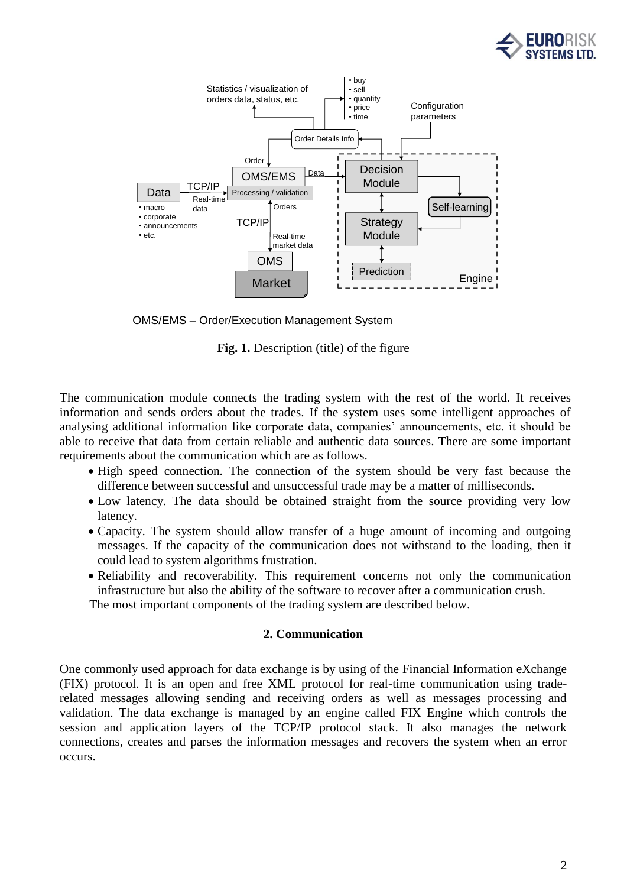



OMS/EMS – Order/Execution Management System

Fig. 1. Description (title) of the figure

The communication module connects the trading system with the rest of the world. It receives information and sends orders about the trades. If the system uses some intelligent approaches of analysing additional information like corporate data, companies' announcements, etc. it should be able to receive that data from certain reliable and authentic data sources. There are some important requirements about the communication which are as follows.

- High speed connection. The connection of the system should be very fast because the difference between successful and unsuccessful trade may be a matter of milliseconds.
- Low latency. The data should be obtained straight from the source providing very low latency.
- Capacity. The system should allow transfer of a huge amount of incoming and outgoing messages. If the capacity of the communication does not withstand to the loading, then it could lead to system algorithms frustration.
- Reliability and recoverability. This requirement concerns not only the communication infrastructure but also the ability of the software to recover after a communication crush. The most important components of the trading system are described below.

**2. Communication**

One commonly used approach for data exchange is by using of the Financial Information eXchange (FIX) protocol. It is an open and free XML protocol for real-time communication using traderelated messages allowing sending and receiving orders as well as messages processing and validation. The data exchange is managed by an engine called FIX Engine which controls the session and application layers of the TCP/IP protocol stack. It also manages the network connections, creates and parses the information messages and recovers the system when an error occurs.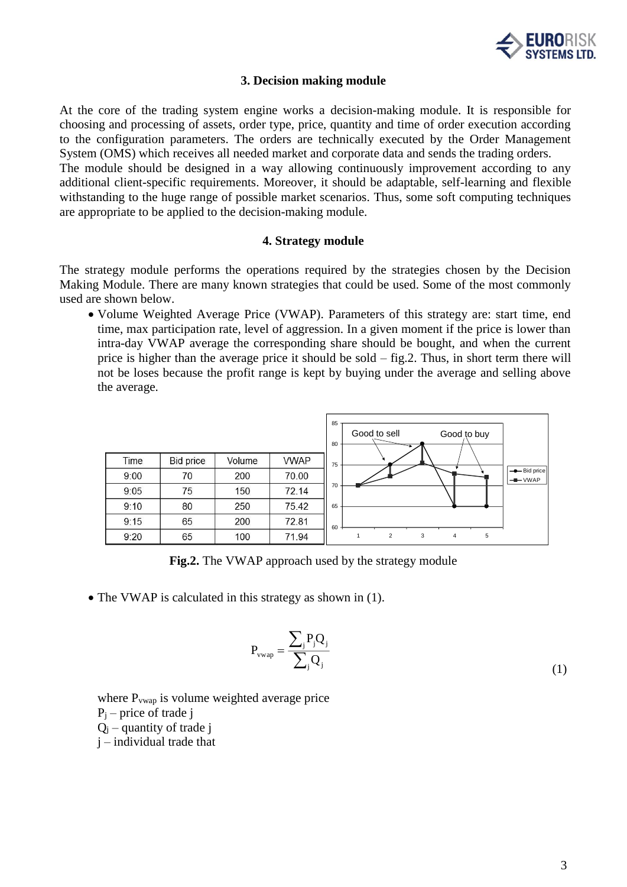

#### **3. Decision making module**

At the core of the trading system engine works a decision-making module. It is responsible for choosing and processing of assets, order type, price, quantity and time of order execution according to the configuration parameters. The orders are technically executed by the Order Management System (OMS) which receives all needed market and corporate data and sends the trading orders. The module should be designed in a way allowing continuously improvement according to any additional client-specific requirements. Moreover, it should be adaptable, self-learning and flexible withstanding to the huge range of possible market scenarios. Thus, some soft computing techniques are appropriate to be applied to the decision-making module.

#### **4. Strategy module**

The strategy module performs the operations required by the strategies chosen by the Decision Making Module. There are many known strategies that could be used. Some of the most commonly used are shown below.

• Volume Weighted Average Price (VWAP). Parameters of this strategy are: start time, end time, max participation rate, level of aggression. In a given moment if the price is lower than intra-day VWAP average the corresponding share should be bought, and when the current price is higher than the average price it should be sold – fig.2. Thus, in short term there will not be loses because the profit range is kept by buying under the average and selling above the average.



**Fig.2.** The VWAP approach used by the strategy module

• The VWAP is calculated in this strategy as shown in (1).

$$
P_{vwap} = \frac{\sum_{j} P_{j} Q_{j}}{\sum_{j} Q_{j}}
$$
\n(1)

where P<sub>vwap</sub> is volume weighted average price  $P_i$  – price of trade j  $Q_i$  – quantity of trade j j – individual trade that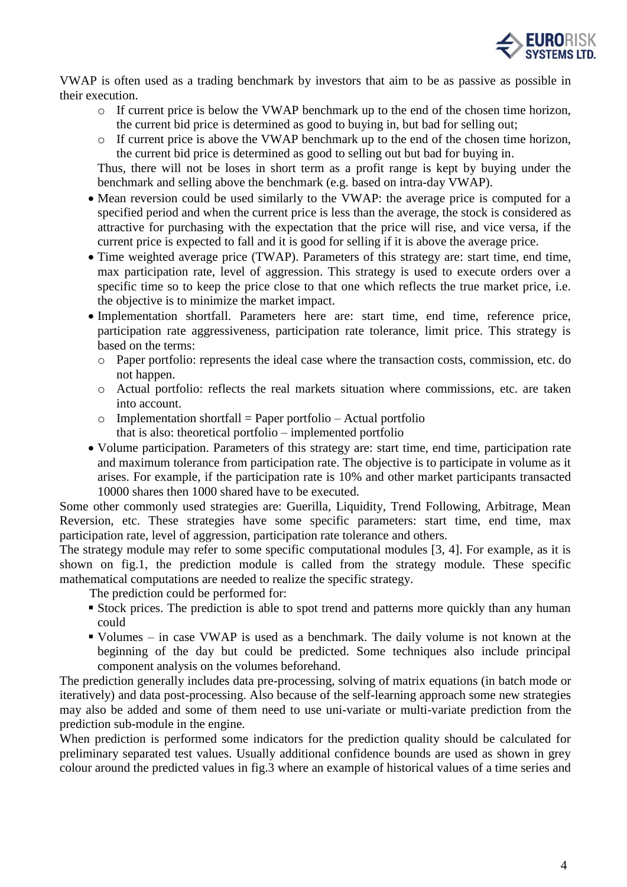

VWAP is often used as a trading benchmark by investors that aim to be as passive as possible in their execution.

- o If current price is below the VWAP benchmark up to the end of the chosen time horizon, the current bid price is determined as good to buying in, but bad for selling out;
- o If current price is above the VWAP benchmark up to the end of the chosen time horizon, the current bid price is determined as good to selling out but bad for buying in.

Thus, there will not be loses in short term as a profit range is kept by buying under the benchmark and selling above the benchmark (e.g. based on intra-day VWAP).

- Mean reversion could be used similarly to the VWAP: the average price is computed for a specified period and when the current price is less than the average, the stock is considered as attractive for purchasing with the expectation that the price will rise, and vice versa, if the current price is expected to fall and it is good for selling if it is above the average price.
- Time weighted average price (TWAP). Parameters of this strategy are: start time, end time, max participation rate, level of aggression. This strategy is used to execute orders over a specific time so to keep the price close to that one which reflects the true market price, i.e. the objective is to minimize the market impact.
- Implementation shortfall. Parameters here are: start time, end time, reference price, participation rate aggressiveness, participation rate tolerance, limit price. This strategy is based on the terms:
	- o Paper portfolio: represents the ideal case where the transaction costs, commission, etc. do not happen.
	- o Actual portfolio: reflects the real markets situation where commissions, etc. are taken into account.
	- $\circ$  Implementation shortfall = Paper portfolio Actual portfolio that is also: theoretical portfolio – implemented portfolio
- Volume participation. Parameters of this strategy are: start time, end time, participation rate and maximum tolerance from participation rate. The objective is to participate in volume as it arises. For example, if the participation rate is 10% and other market participants transacted 10000 shares then 1000 shared have to be executed.

Some other commonly used strategies are: Guerilla, Liquidity, Trend Following, Arbitrage, Mean Reversion, etc. These strategies have some specific parameters: start time, end time, max participation rate, level of aggression, participation rate tolerance and others.

The strategy module may refer to some specific computational modules [3, 4]. For example, as it is shown on fig.1, the prediction module is called from the strategy module. These specific mathematical computations are needed to realize the specific strategy.

The prediction could be performed for:

- **Example 1** Stock prices. The prediction is able to spot trend and patterns more quickly than any human could
- Volumes in case VWAP is used as a benchmark. The daily volume is not known at the beginning of the day but could be predicted. Some techniques also include principal component analysis on the volumes beforehand.

The prediction generally includes data pre-processing, solving of matrix equations (in batch mode or iteratively) and data post-processing. Also because of the self-learning approach some new strategies may also be added and some of them need to use uni-variate or multi-variate prediction from the prediction sub-module in the engine.

When prediction is performed some indicators for the prediction quality should be calculated for preliminary separated test values. Usually additional confidence bounds are used as shown in grey colour around the predicted values in fig.3 where an example of historical values of a time series and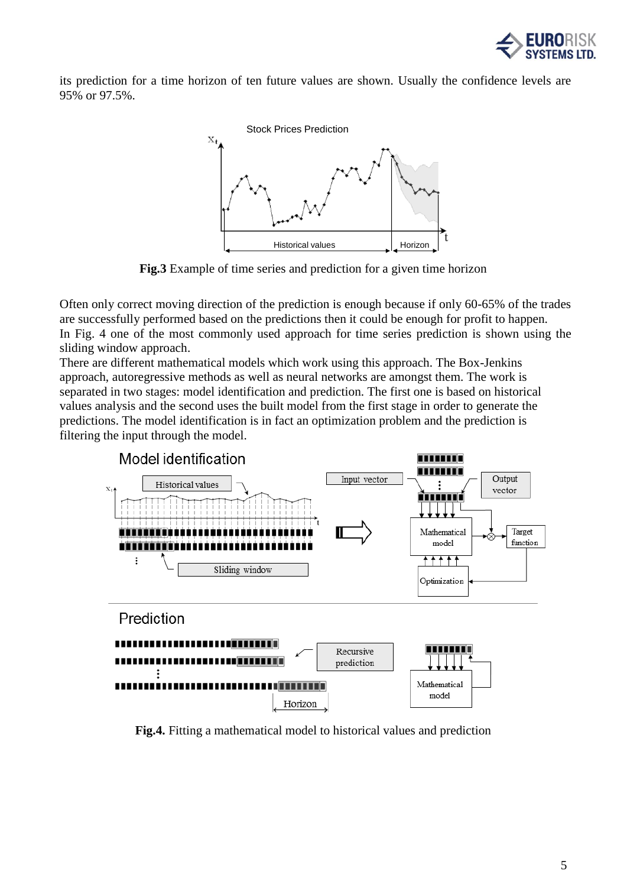

its prediction for a time horizon of ten future values are shown. Usually the confidence levels are 95% or 97.5%.



**Fig.3** Example of time series and prediction for a given time horizon

Often only correct moving direction of the prediction is enough because if only 60-65% of the trades are successfully performed based on the predictions then it could be enough for profit to happen. In Fig. 4 one of the most commonly used approach for time series prediction is shown using the sliding window approach.

There are different mathematical models which work using this approach. The Box-Jenkins approach, autoregressive methods as well as neural networks are amongst them. The work is separated in two stages: model identification and prediction. The first one is based on historical values analysis and the second uses the built model from the first stage in order to generate the predictions. The model identification is in fact an optimization problem and the prediction is filtering the input through the model.



**Fig.4.** Fitting a mathematical model to historical values and prediction